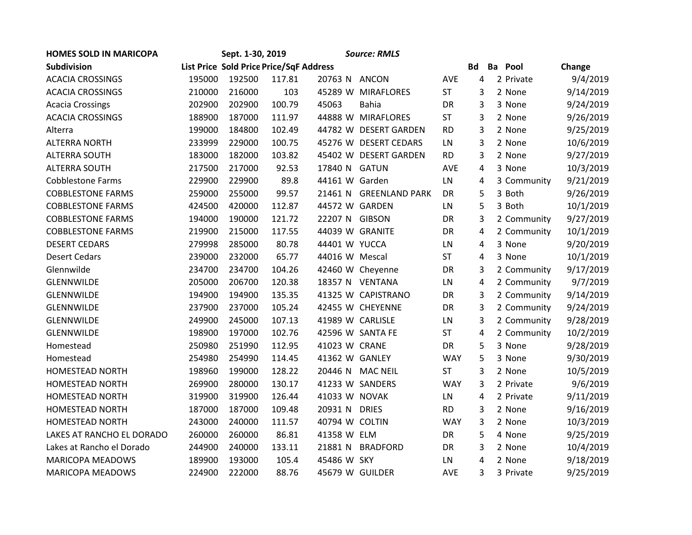| <b>HOMES SOLD IN MARICOPA</b> |                                         | Sept. 1-30, 2019 |        |                  | <b>Source: RMLS</b>   |            |           |             |           |
|-------------------------------|-----------------------------------------|------------------|--------|------------------|-----------------------|------------|-----------|-------------|-----------|
| Subdivision                   | List Price Sold Price Price/SqF Address |                  |        |                  |                       |            | <b>Bd</b> | Ba<br>Pool  | Change    |
| <b>ACACIA CROSSINGS</b>       | 195000                                  | 192500           | 117.81 | 20763 N          | <b>ANCON</b>          | AVE        | 4         | 2 Private   | 9/4/2019  |
| <b>ACACIA CROSSINGS</b>       | 210000                                  | 216000           | 103    | 45289 W          | <b>MIRAFLORES</b>     | <b>ST</b>  | 3         | 2 None      | 9/14/2019 |
| <b>Acacia Crossings</b>       | 202900                                  | 202900           | 100.79 | 45063            | <b>Bahia</b>          | <b>DR</b>  | 3         | 3 None      | 9/24/2019 |
| <b>ACACIA CROSSINGS</b>       | 188900                                  | 187000           | 111.97 |                  | 44888 W MIRAFLORES    | ST         | 3         | 2 None      | 9/26/2019 |
| Alterra                       | 199000                                  | 184800           | 102.49 |                  | 44782 W DESERT GARDEN | <b>RD</b>  | 3         | 2 None      | 9/25/2019 |
| <b>ALTERRA NORTH</b>          | 233999                                  | 229000           | 100.75 |                  | 45276 W DESERT CEDARS | LN         | 3         | 2 None      | 10/6/2019 |
| <b>ALTERRA SOUTH</b>          | 183000                                  | 182000           | 103.82 |                  | 45402 W DESERT GARDEN | <b>RD</b>  | 3         | 2 None      | 9/27/2019 |
| <b>ALTERRA SOUTH</b>          | 217500                                  | 217000           | 92.53  | 17840 N          | <b>GATUN</b>          | AVE        | 4         | 3 None      | 10/3/2019 |
| <b>Cobblestone Farms</b>      | 229900                                  | 229900           | 89.8   | 44161 W Garden   |                       | LN         | 4         | 3 Community | 9/21/2019 |
| <b>COBBLESTONE FARMS</b>      | 259000                                  | 255000           | 99.57  | 21461 N          | <b>GREENLAND PARK</b> | <b>DR</b>  | 5         | 3 Both      | 9/26/2019 |
| <b>COBBLESTONE FARMS</b>      | 424500                                  | 420000           | 112.87 | 44572 W GARDEN   |                       | LN         | 5         | 3 Both      | 10/1/2019 |
| <b>COBBLESTONE FARMS</b>      | 194000                                  | 190000           | 121.72 | 22207 N GIBSON   |                       | <b>DR</b>  | 3         | 2 Community | 9/27/2019 |
| <b>COBBLESTONE FARMS</b>      | 219900                                  | 215000           | 117.55 | 44039 W GRANITE  |                       | <b>DR</b>  | 4         | 2 Community | 10/1/2019 |
| <b>DESERT CEDARS</b>          | 279998                                  | 285000           | 80.78  | 44401 W YUCCA    |                       | LN         | 4         | 3 None      | 9/20/2019 |
| <b>Desert Cedars</b>          | 239000                                  | 232000           | 65.77  | 44016 W Mescal   |                       | <b>ST</b>  | 4         | 3 None      | 10/1/2019 |
| Glennwilde                    | 234700                                  | 234700           | 104.26 |                  | 42460 W Cheyenne      | <b>DR</b>  | 3         | 2 Community | 9/17/2019 |
| GLENNWILDE                    | 205000                                  | 206700           | 120.38 |                  | 18357 N VENTANA       | LN         | 4         | 2 Community | 9/7/2019  |
| <b>GLENNWILDE</b>             | 194900                                  | 194900           | 135.35 |                  | 41325 W CAPISTRANO    | DR         | 3         | 2 Community | 9/14/2019 |
| <b>GLENNWILDE</b>             | 237900                                  | 237000           | 105.24 |                  | 42455 W CHEYENNE      | <b>DR</b>  | 3         | 2 Community | 9/24/2019 |
| <b>GLENNWILDE</b>             | 249900                                  | 245000           | 107.13 | 41989 W CARLISLE |                       | LN         | 3         | 2 Community | 9/28/2019 |
| <b>GLENNWILDE</b>             | 198900                                  | 197000           | 102.76 |                  | 42596 W SANTA FE      | <b>ST</b>  | 4         | 2 Community | 10/2/2019 |
| Homestead                     | 250980                                  | 251990           | 112.95 | 41023 W CRANE    |                       | <b>DR</b>  | 5         | 3 None      | 9/28/2019 |
| Homestead                     | 254980                                  | 254990           | 114.45 | 41362 W GANLEY   |                       | <b>WAY</b> | 5         | 3 None      | 9/30/2019 |
| <b>HOMESTEAD NORTH</b>        | 198960                                  | 199000           | 128.22 | 20446 N          | <b>MAC NEIL</b>       | <b>ST</b>  | 3         | 2 None      | 10/5/2019 |
| <b>HOMESTEAD NORTH</b>        | 269900                                  | 280000           | 130.17 |                  | 41233 W SANDERS       | <b>WAY</b> | 3         | 2 Private   | 9/6/2019  |
| <b>HOMESTEAD NORTH</b>        | 319900                                  | 319900           | 126.44 | 41033 W NOVAK    |                       | LN         | 4         | 2 Private   | 9/11/2019 |
| <b>HOMESTEAD NORTH</b>        | 187000                                  | 187000           | 109.48 | 20931 N          | <b>DRIES</b>          | <b>RD</b>  | 3         | 2 None      | 9/16/2019 |
| <b>HOMESTEAD NORTH</b>        | 243000                                  | 240000           | 111.57 | 40794 W COLTIN   |                       | <b>WAY</b> | 3         | 2 None      | 10/3/2019 |
| LAKES AT RANCHO EL DORADO     | 260000                                  | 260000           | 86.81  | 41358 W ELM      |                       | <b>DR</b>  | 5         | 4 None      | 9/25/2019 |
| Lakes at Rancho el Dorado     | 244900                                  | 240000           | 133.11 | 21881 N          | <b>BRADFORD</b>       | DR         | 3         | 2 None      | 10/4/2019 |
| <b>MARICOPA MEADOWS</b>       | 189900                                  | 193000           | 105.4  | 45486 W SKY      |                       | LN.        | 4         | 2 None      | 9/18/2019 |
| <b>MARICOPA MEADOWS</b>       | 224900                                  | 222000           | 88.76  | 45679 W GUILDER  |                       | <b>AVE</b> | 3         | 3 Private   | 9/25/2019 |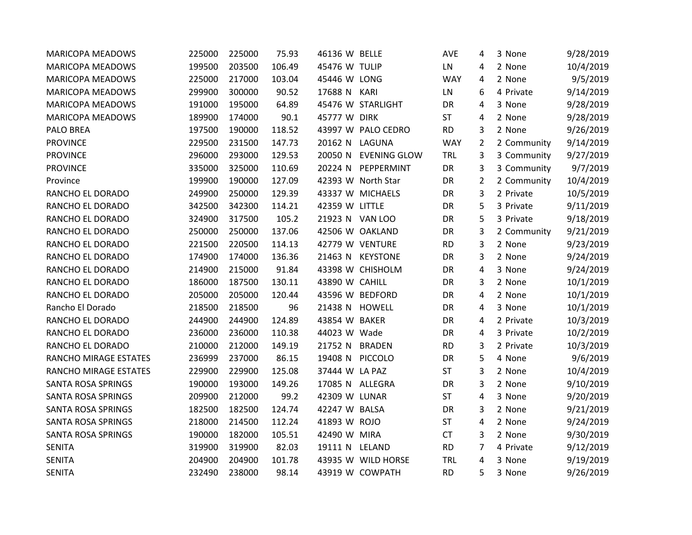| <b>MARICOPA MEADOWS</b>   | 225000 | 225000 | 75.93  | 46136 W BELLE   |                     | AVE        | 4              | 3 None      | 9/28/2019 |
|---------------------------|--------|--------|--------|-----------------|---------------------|------------|----------------|-------------|-----------|
| <b>MARICOPA MEADOWS</b>   | 199500 | 203500 | 106.49 | 45476 W TULIP   |                     | LN         | 4              | 2 None      | 10/4/2019 |
| <b>MARICOPA MEADOWS</b>   | 225000 | 217000 | 103.04 | 45446 W LONG    |                     | <b>WAY</b> | 4              | 2 None      | 9/5/2019  |
| <b>MARICOPA MEADOWS</b>   | 299900 | 300000 | 90.52  | 17688 N         | KARI                | LN         | 6              | 4 Private   | 9/14/2019 |
| <b>MARICOPA MEADOWS</b>   | 191000 | 195000 | 64.89  |                 | 45476 W STARLIGHT   | DR         | 4              | 3 None      | 9/28/2019 |
| <b>MARICOPA MEADOWS</b>   | 189900 | 174000 | 90.1   | 45777 W DIRK    |                     | <b>ST</b>  | 4              | 2 None      | 9/28/2019 |
| <b>PALO BREA</b>          | 197500 | 190000 | 118.52 |                 | 43997 W PALO CEDRO  | <b>RD</b>  | 3              | 2 None      | 9/26/2019 |
| <b>PROVINCE</b>           | 229500 | 231500 | 147.73 | 20162 N         | LAGUNA              | <b>WAY</b> | $\overline{2}$ | 2 Community | 9/14/2019 |
| <b>PROVINCE</b>           | 296000 | 293000 | 129.53 | 20050 N         | <b>EVENING GLOW</b> | <b>TRL</b> | 3              | 3 Community | 9/27/2019 |
| <b>PROVINCE</b>           | 335000 | 325000 | 110.69 | 20224 N         | PEPPERMINT          | DR         | 3              | 3 Community | 9/7/2019  |
| Province                  | 199900 | 190000 | 127.09 |                 | 42393 W North Star  | DR         | $\overline{2}$ | 2 Community | 10/4/2019 |
| RANCHO EL DORADO          | 249900 | 250000 | 129.39 |                 | 43337 W MICHAELS    | DR         | 3              | 2 Private   | 10/5/2019 |
| RANCHO EL DORADO          | 342500 | 342300 | 114.21 | 42359 W LITTLE  |                     | DR         | 5              | 3 Private   | 9/11/2019 |
| RANCHO EL DORADO          | 324900 | 317500 | 105.2  | 21923 N VAN LOO |                     | DR         | 5              | 3 Private   | 9/18/2019 |
| RANCHO EL DORADO          | 250000 | 250000 | 137.06 |                 | 42506 W OAKLAND     | DR         | 3              | 2 Community | 9/21/2019 |
| RANCHO EL DORADO          | 221500 | 220500 | 114.13 |                 | 42779 W VENTURE     | <b>RD</b>  | 3              | 2 None      | 9/23/2019 |
| RANCHO EL DORADO          | 174900 | 174000 | 136.36 |                 | 21463 N KEYSTONE    | DR         | 3              | 2 None      | 9/24/2019 |
| RANCHO EL DORADO          | 214900 | 215000 | 91.84  |                 | 43398 W CHISHOLM    | DR         | 4              | 3 None      | 9/24/2019 |
| RANCHO EL DORADO          | 186000 | 187500 | 130.11 | 43890 W CAHILL  |                     | DR         | 3              | 2 None      | 10/1/2019 |
| RANCHO EL DORADO          | 205000 | 205000 | 120.44 |                 | 43596 W BEDFORD     | DR         | 4              | 2 None      | 10/1/2019 |
| Rancho El Dorado          | 218500 | 218500 | 96     | 21438 N         | <b>HOWELL</b>       | DR         | 4              | 3 None      | 10/1/2019 |
| RANCHO EL DORADO          | 244900 | 244900 | 124.89 | 43854 W BAKER   |                     | <b>DR</b>  | 4              | 2 Private   | 10/3/2019 |
| RANCHO EL DORADO          | 236000 | 236000 | 110.38 | 44023 W Wade    |                     | DR         | 4              | 3 Private   | 10/2/2019 |
| RANCHO EL DORADO          | 210000 | 212000 | 149.19 | 21752 N         | <b>BRADEN</b>       | <b>RD</b>  | 3              | 2 Private   | 10/3/2019 |
| RANCHO MIRAGE ESTATES     | 236999 | 237000 | 86.15  | 19408 N         | PICCOLO             | DR         | 5              | 4 None      | 9/6/2019  |
| RANCHO MIRAGE ESTATES     | 229900 | 229900 | 125.08 | 37444 W LA PAZ  |                     | <b>ST</b>  | 3              | 2 None      | 10/4/2019 |
| SANTA ROSA SPRINGS        | 190000 | 193000 | 149.26 | 17085 N ALLEGRA |                     | DR         | 3              | 2 None      | 9/10/2019 |
| <b>SANTA ROSA SPRINGS</b> | 209900 | 212000 | 99.2   | 42309 W LUNAR   |                     | <b>ST</b>  | 4              | 3 None      | 9/20/2019 |
| SANTA ROSA SPRINGS        | 182500 | 182500 | 124.74 | 42247 W BALSA   |                     | <b>DR</b>  | 3              | 2 None      | 9/21/2019 |
| SANTA ROSA SPRINGS        | 218000 | 214500 | 112.24 | 41893 W ROJO    |                     | <b>ST</b>  | 4              | 2 None      | 9/24/2019 |
| SANTA ROSA SPRINGS        | 190000 | 182000 | 105.51 | 42490 W MIRA    |                     | <b>CT</b>  | 3              | 2 None      | 9/30/2019 |
| <b>SENITA</b>             | 319900 | 319900 | 82.03  | 19111 N LELAND  |                     | <b>RD</b>  | 7              | 4 Private   | 9/12/2019 |
| <b>SENITA</b>             | 204900 | 204900 | 101.78 |                 | 43935 W WILD HORSE  | <b>TRL</b> | 4              | 3 None      | 9/19/2019 |
| <b>SENITA</b>             | 232490 | 238000 | 98.14  |                 | 43919 W COWPATH     | <b>RD</b>  | 5              | 3 None      | 9/26/2019 |